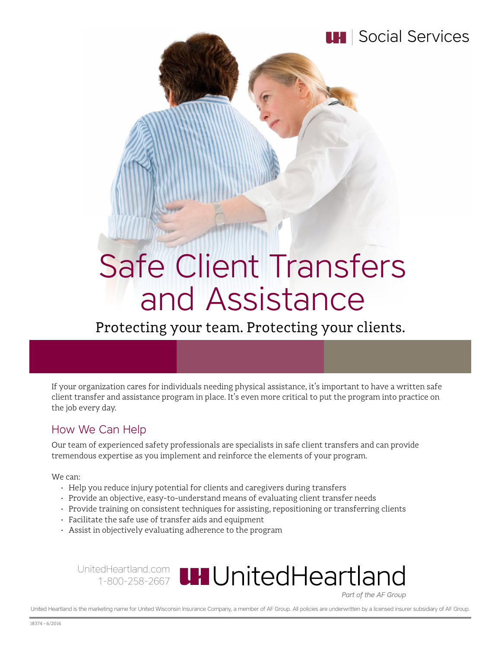

# Safe Client Transfers and Assistance

Protecting your team. Protecting your clients.

If your organization cares for individuals needing physical assistance, it's important to have a written safe client transfer and assistance program in place. It's even more critical to put the program into practice on the job every day.

## How We Can Help

Our team of experienced safety professionals are specialists in safe client transfers and can provide tremendous expertise as you implement and reinforce the elements of your program.

We can:

- Help you reduce injury potential for clients and caregivers during transfers
- Provide an objective, easy-to-understand means of evaluating client transfer needs
- Provide training on consistent techniques for assisting, repositioning or transferring clients
- Facilitate the safe use of transfer aids and equipment
- Assist in objectively evaluating adherence to the program

UnitedHeartland.com 1-800-258-2667

Part of the AF Group

United Heartland is the marketing name for United Wisconsin Insurance Company, a member of AF Group. All policies are underwritten by a licensed insurer subsidiary of AF Group.